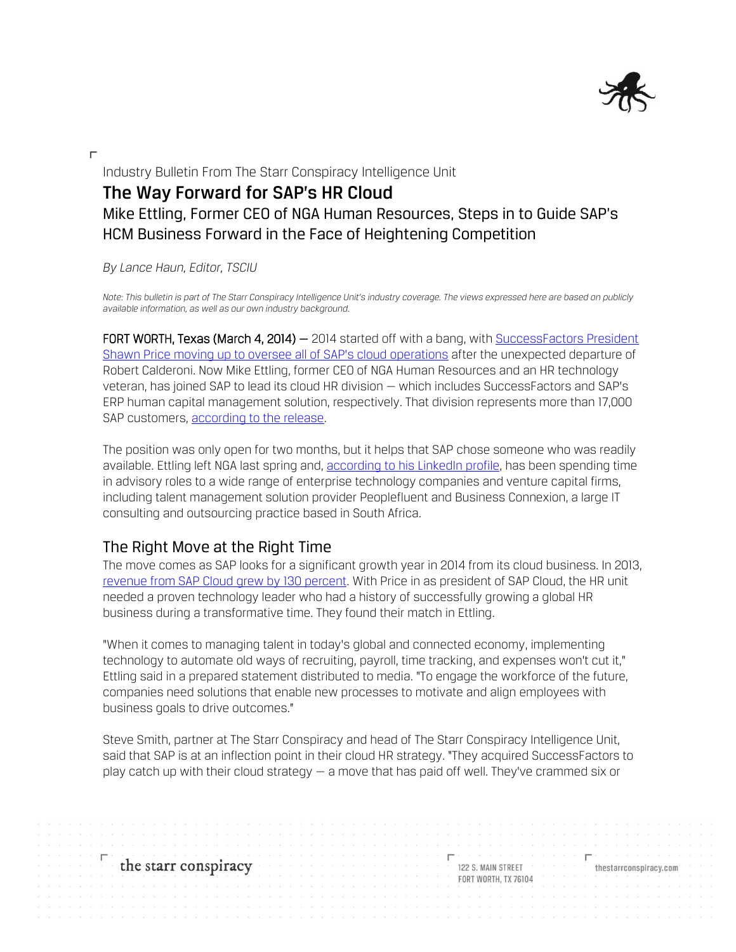

 $\Gamma$ 

## Industry Bulletin From The Starr Conspiracy Intelligence Unit **The Way Forward for SAP's HR Cloud** Mike Ettling, Former CEO of NGA Human Resources, Steps in to Guide SAP's HCM Business Forward in the Face of Heightening Competition

*By Lance Haun, Editor, TSCIU*

Note: This bulletin is part of The Starr Conspiracy Intelligence Unit's industry coverage. The views expressed here are based on publicly *available information, as well as our own industry background.*

FORT WORTH, Texas (March 4, 2014) – 2014 started off with a bang, with SuccessFactors President [Shawn Price moving up to oversee all of S](http://campaigns.thestarrconspiracy.com/industry-bulletin/HCM-shake-up-2014/)AP's cloud operations after the unexpected departure of Robert Calderoni. Now Mike Ettling, former CEO of NGA Human Resources and an HR technology veteran, has joined SAP to lead its cloud HR division — which includes SuccessFactors and SAP's ERP human capital management solution, respectively. That division represents more than 17,000 SAP customers, [according to the release.](http://www.news-sap.com/sap-bolsters-cloud-leadership-names-former-nga-human-resources-ceo-mike-ettling-as-cloud-for-hr-lead/) 

The position was only open for two months, but it helps that SAP chose someone who was readily available. Ettling left NGA last spring and, [according to his LinkedIn profile,](http://uk.linkedin.com/in/mikeettling) has been spending time in advisory roles to a wide range of enterprise technology companies and venture capital firms, including talent management solution provider Peoplefluent and Business Connexion, a large IT consulting and outsourcing practice based in South Africa.

### The Right Move at the Right Time

The move comes as SAP looks for a significant growth year in 2014 from its cloud business. In 2013, [revenue from SAP Cloud grew by 130 percent.](http://global.sap.com/corporate-en/investors/newsandreports/news.epx?category=45&articleID=22115) With Price in as president of SAP Cloud, the HR unit needed a proven technology leader who had a history of successfully growing a global HR business during a transformative time. They found their match in Ettling.

"When it comes to managing talent in today's global and connected economy, implementing technology to automate old ways of recruiting, payroll, time tracking, and expenses won't cut it," Ettling said in a prepared statement distributed to media. "To engage the workforce of the future, companies need solutions that enable new processes to motivate and align employees with business goals to drive outcomes."

Steve Smith, partner at The Starr Conspiracy and head of The Starr Conspiracy Intelligence Unit, said that SAP is at an inflection point in their cloud HR strategy. "They acquired SuccessFactors to play catch up with their cloud strategy  $-$  a move that has paid off well. They've crammed six or

# the starr conspiracy

122 S. MAIN STREET **FORT WORTH: TX 76104**  thestarrconspiracy.com